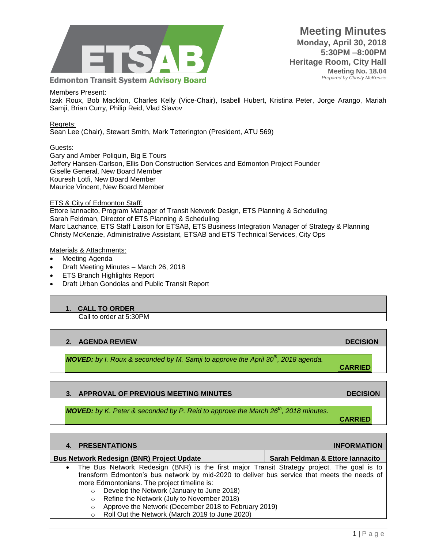

### Members Present:

Izak Roux, Bob Macklon, Charles Kelly (Vice-Chair), Isabell Hubert, Kristina Peter, Jorge Arango, Mariah Samji, Brian Curry, Philip Reid, Vlad Slavov

### Regrets:

Sean Lee (Chair), Stewart Smith, Mark Tetterington (President, ATU 569)

### Guests:

Gary and Amber Poliquin, Big E Tours Jeffery Hansen-Carlson, Ellis Don Construction Services and Edmonton Project Founder Giselle General, New Board Member Kouresh Lotfi, New Board Member Maurice Vincent, New Board Member

### ETS & City of Edmonton Staff:

Ettore Iannacito, Program Manager of Transit Network Design, ETS Planning & Scheduling Sarah Feldman, Director of ETS Planning & Scheduling Marc Lachance, ETS Staff Liaison for ETSAB, ETS Business Integration Manager of Strategy & Planning Christy McKenzie, Administrative Assistant, ETSAB and ETS Technical Services, City Ops

### Materials & Attachments:

- Meeting Agenda
- Draft Meeting Minutes March 26, 2018
- ETS Branch Highlights Report
- Draft Urban Gondolas and Public Transit Report

### **1. CALL TO ORDER**

Call to order at 5:30PM

# **2. AGENDA REVIEW DECISION**

*MOVED: by I. Roux & seconded by M. Samji to approve the April 30th, 2018 agenda.*

# **3. APPROVAL OF PREVIOUS MEETING MINUTES ARE ALCOHOLY AND DECISION DECISION**

*MOVED: by K. Peter & seconded by P. Reid to approve the March 26th, 2018 minutes.*

| <b>CARRIED</b> |  |
|----------------|--|

**CARRIED**

| 4. PRESENTATIONS                                                                                                                                                                                                                                      | <b>INFORMATION</b>               |
|-------------------------------------------------------------------------------------------------------------------------------------------------------------------------------------------------------------------------------------------------------|----------------------------------|
| <b>Bus Network Redesign (BNR) Project Update</b>                                                                                                                                                                                                      | Sarah Feldman & Ettore lannacito |
| The Bus Network Redesign (BNR) is the first major Transit Strategy project. The goal is to<br>$\bullet$<br>transform Edmonton's bus network by mid-2020 to deliver bus service that meets the needs of<br>more Edmontonians. The project timeline is: |                                  |
| Develop the Network (January to June 2018)                                                                                                                                                                                                            |                                  |
| $\circ$<br>Refine the Network (July to November 2018)<br>$\circ$                                                                                                                                                                                      |                                  |
| Approve the Network (December 2018 to February 2019)<br>$\circ$<br><b>DUO</b> UL ILLI I (11 LOGIO L. COOO)                                                                                                                                            |                                  |

o Roll Out the Network (March 2019 to June 2020)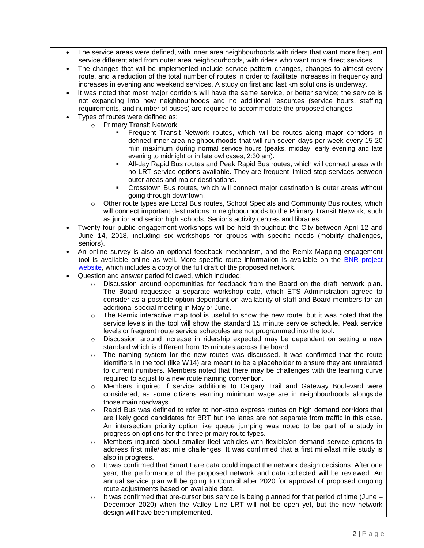- The service areas were defined, with inner area neighbourhoods with riders that want more frequent service differentiated from outer area neighbourhoods, with riders who want more direct services.
- The changes that will be implemented include service pattern changes, changes to almost every route, and a reduction of the total number of routes in order to facilitate increases in frequency and increases in evening and weekend services. A study on first and last km solutions is underway.
- It was noted that most major corridors will have the same service, or better service; the service is not expanding into new neighbourhoods and no additional resources (service hours, staffing requirements, and number of buses) are required to accommodate the proposed changes.
- Types of routes were defined as:
	- o Primary Transit Network
		- Frequent Transit Network routes, which will be routes along major corridors in defined inner area neighbourhoods that will run seven days per week every 15-20 min maximum during normal service hours (peaks, midday, early evening and late evening to midnight or in late owl cases, 2:30 am).
		- All-day Rapid Bus routes and Peak Rapid Bus routes, which will connect areas with no LRT service options available. They are frequent limited stop services between outer areas and major destinations.
		- Crosstown Bus routes, which will connect major destination is outer areas without going through downtown.
		- o Other route types are Local Bus routes, School Specials and Community Bus routes, which will connect important destinations in neighbourhoods to the Primary Transit Network, such as junior and senior high schools, Senior's activity centres and libraries.
- Twenty four public engagement workshops will be held throughout the City between April 12 and June 14, 2018, including six workshops for groups with specific needs (mobility challenges, seniors).
- An online survey is also an optional feedback mechanism, and the Remix Mapping engagement tool is available online as well. More specific route information is available on the [BNR project](https://www.edmonton.ca/projects_plans/transit/bus-network-redesign.aspx?utm_source=virtualaddress&utm_campaign=BusNetworkRedesign)  [website,](https://www.edmonton.ca/projects_plans/transit/bus-network-redesign.aspx?utm_source=virtualaddress&utm_campaign=BusNetworkRedesign) which includes a copy of the full draft of the proposed network.
- Question and answer period followed, which included:
	- $\circ$  Discussion around opportunities for feedback from the Board on the draft network plan. The Board requested a separate workshop date, which ETS Administration agreed to consider as a possible option dependant on availability of staff and Board members for an additional special meeting in May or June.
	- $\circ$  The Remix interactive map tool is useful to show the new route, but it was noted that the service levels in the tool will show the standard 15 minute service schedule. Peak service levels or frequent route service schedules are not programmed into the tool.
	- $\circ$  Discussion around increase in ridership expected may be dependent on setting a new standard which is different from 15 minutes across the board.
	- $\circ$  The naming system for the new routes was discussed. It was confirmed that the route identifiers in the tool (like W14) are meant to be a placeholder to ensure they are unrelated to current numbers. Members noted that there may be challenges with the learning curve required to adjust to a new route naming convention.
	- $\circ$  Members inquired if service additions to Calgary Trail and Gateway Boulevard were considered, as some citizens earning minimum wage are in neighbourhoods alongside those main roadways.
	- o Rapid Bus was defined to refer to non-stop express routes on high demand corridors that are likely good candidates for BRT but the lanes are not separate from traffic in this case. An intersection priority option like queue jumping was noted to be part of a study in progress on options for the three primary route types.
	- o Members inquired about smaller fleet vehicles with flexible/on demand service options to address first mile/last mile challenges. It was confirmed that a first mile/last mile study is also in progress.
	- $\circ$  It was confirmed that Smart Fare data could impact the network design decisions. After one year, the performance of the proposed network and data collected will be reviewed. An annual service plan will be going to Council after 2020 for approval of proposed ongoing route adjustments based on available data.
	- o It was confirmed that pre-cursor bus service is being planned for that period of time (June December 2020) when the Valley Line LRT will not be open yet, but the new network design will have been implemented.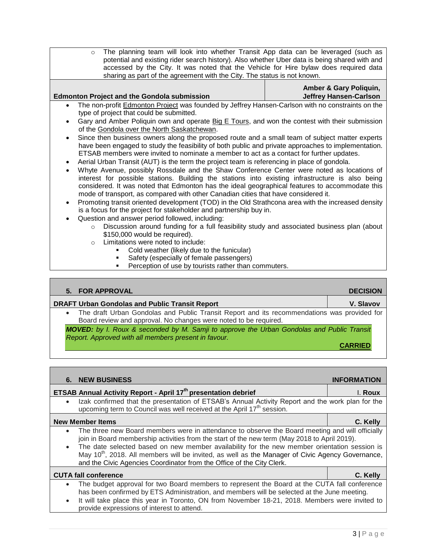o The planning team will look into whether Transit App data can be leveraged (such as potential and existing rider search history). Also whether Uber data is being shared with and accessed by the City. It was noted that the Vehicle for Hire bylaw does required data sharing as part of the agreement with the City. The status is not known.

|           |                                                                                                         | <b>Amber &amp; Gary Poliquin,</b> |
|-----------|---------------------------------------------------------------------------------------------------------|-----------------------------------|
|           | <b>Edmonton Project and the Gondola submission</b>                                                      | <b>Jeffrey Hansen-Carlson</b>     |
|           | The non-profit <b>Edmonton Project</b> was founded by Jeffrey Hansen-Carlson with no constraints on the |                                   |
|           | type of project that could be submitted.                                                                |                                   |
|           | • Gary and Amber Poliquin own and operate Big E Tours, and won the contest with their submission        |                                   |
|           | of the Gondola over the North Saskatchewan.                                                             |                                   |
| $\bullet$ | Since then business owners along the proposed route and a small team of subject matter experts          |                                   |
|           | have been engaged to study the feasibility of both public and private approaches to implementation.     |                                   |
|           | ETSAB members were invited to nominate a member to act as a contact for further updates.                |                                   |

- Aerial Urban Transit (AUT) is the term the project team is referencing in place of gondola.
- Whyte Avenue, possibly Rossdale and the Shaw Conference Center were noted as locations of interest for possible stations. Building the stations into existing infrastructure is also being considered. It was noted that Edmonton has the ideal geographical features to accommodate this mode of transport, as compared with other Canadian cities that have considered it.
- Promoting transit oriented development (TOD) in the Old Strathcona area with the increased density is a focus for the project for stakeholder and partnership buy in.
- Question and answer period followed, including:
	- $\circ$  Discussion around funding for a full feasibility study and associated business plan (about \$150,000 would be required).
	- o Limitations were noted to include:
		- Cold weather (likely due to the funicular)
		- Safety (especially of female passengers)
		- **Perception of use by tourists rather than commuters.**

# **5.** FOR APPROVAL **DECISION**

**DRAFT Urban Gondolas and Public Transit Report V. Slavov**

 The draft Urban Gondolas and Public Transit Report and its recommendations was provided for Board review and approval. No changes were noted to be required.

*MOVED: by I. Roux & seconded by M. Samji to approve the Urban Gondolas and Public Transit Report. Approved with all members present in favour.*

**CARRIED**

|                        | <b>6. NEW BUSINESS</b>                                                                                                                                                                                                                                                                                                                                                                                                                                                                   | <b>INFORMATION</b> |
|------------------------|------------------------------------------------------------------------------------------------------------------------------------------------------------------------------------------------------------------------------------------------------------------------------------------------------------------------------------------------------------------------------------------------------------------------------------------------------------------------------------------|--------------------|
|                        | <b>ETSAB Annual Activity Report - April 17th presentation debrief</b>                                                                                                                                                                                                                                                                                                                                                                                                                    | I. Roux            |
| $\bullet$              | Izak confirmed that the presentation of ETSAB's Annual Activity Report and the work plan for the<br>upcoming term to Council was well received at the April 17 <sup>th</sup> session.                                                                                                                                                                                                                                                                                                    |                    |
|                        | <b>New Member Items</b>                                                                                                                                                                                                                                                                                                                                                                                                                                                                  | C. Kelly           |
| $\bullet$              | The three new Board members were in attendance to observe the Board meeting and will officially<br>join in Board membership activities from the start of the new term (May 2018 to April 2019).<br>The date selected based on new member availability for the new member orientation session is<br>May 10 <sup>th</sup> , 2018. All members will be invited, as well as the Manager of Civic Agency Governance,<br>and the Civic Agencies Coordinator from the Office of the City Clerk. |                    |
|                        | <b>CUTA fall conference</b>                                                                                                                                                                                                                                                                                                                                                                                                                                                              | C. Kelly           |
| $\bullet$<br>$\bullet$ | The budget approval for two Board members to represent the Board at the CUTA fall conference<br>has been confirmed by ETS Administration, and members will be selected at the June meeting.<br>It will take place this year in Toronto, ON from November 18-21, 2018. Members were invited to<br>provide expressions of interest to attend.                                                                                                                                              |                    |

 $3|P$  a g e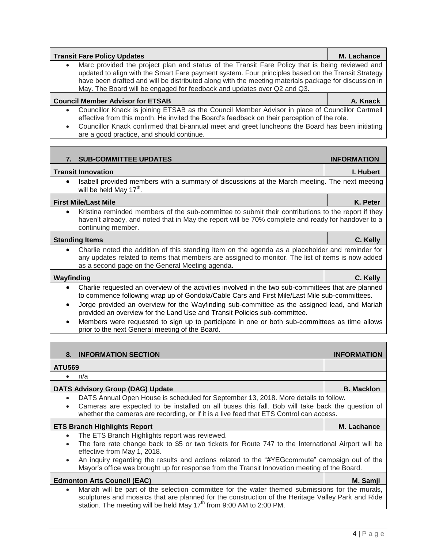| <b>Transit Fare Policy Updates</b>                                                                                                                                                                                                                                                                                                                                                                    | M. Lachance        |
|-------------------------------------------------------------------------------------------------------------------------------------------------------------------------------------------------------------------------------------------------------------------------------------------------------------------------------------------------------------------------------------------------------|--------------------|
| Marc provided the project plan and status of the Transit Fare Policy that is being reviewed and<br>$\bullet$<br>updated to align with the Smart Fare payment system. Four principles based on the Transit Strategy<br>have been drafted and will be distributed along with the meeting materials package for discussion in<br>May. The Board will be engaged for feedback and updates over Q2 and Q3. |                    |
| <b>Council Member Advisor for ETSAB</b>                                                                                                                                                                                                                                                                                                                                                               | A. Knack           |
| Councillor Knack is joining ETSAB as the Council Member Advisor in place of Councillor Cartmell<br>$\bullet$<br>effective from this month. He invited the Board's feedback on their perception of the role.<br>Councillor Knack confirmed that bi-annual meet and greet luncheons the Board has been initiating<br>$\bullet$<br>are a good practice, and should continue.                             |                    |
|                                                                                                                                                                                                                                                                                                                                                                                                       |                    |
| 7. SUB-COMMITTEE UPDATES                                                                                                                                                                                                                                                                                                                                                                              | <b>INFORMATION</b> |
| <b>Transit Innovation</b>                                                                                                                                                                                                                                                                                                                                                                             | I. Hubert          |
| Isabell provided members with a summary of discussions at the March meeting. The next meeting<br>$\bullet$<br>will be held May 17 <sup>th</sup> .                                                                                                                                                                                                                                                     |                    |
| <b>First Mile/Last Mile</b>                                                                                                                                                                                                                                                                                                                                                                           | K. Peter           |
| Kristina reminded members of the sub-committee to submit their contributions to the report if they<br>$\bullet$<br>haven't already, and noted that in May the report will be 70% complete and ready for handover to a<br>continuing member.                                                                                                                                                           |                    |
| <b>Standing Items</b>                                                                                                                                                                                                                                                                                                                                                                                 | C. Kelly           |
| Charlie noted the addition of this standing item on the agenda as a placeholder and reminder for<br>$\bullet$                                                                                                                                                                                                                                                                                         |                    |

### **Wayfinding C. Kelly**

 Charlie requested an overview of the activities involved in the two sub-committees that are planned to commence following wrap up of Gondola/Cable Cars and First Mile/Last Mile sub-committees.

- Jorge provided an overview for the Wayfinding sub-committee as the assigned lead, and Mariah provided an overview for the Land Use and Transit Policies sub-committee.
- Members were requested to sign up to participate in one or both sub-committees as time allows prior to the next General meeting of the Board.

# **DATS Advisory Group (DAG) Update B. Macklon B. Macklon**  DATS Annual Open House is scheduled for September 13, 2018. More details to follow. Cameras are expected to be installed on all buses this fall. Bob will take back the question of whether the cameras are recording, or if it is a live feed that ETS Control can access. **[ETS Branch Highlights Report](https://docs.google.com/a/edmonton.ca/spreadsheets/d/1_t6r4fH6hdfOQtXhpM0t8Y71Re9ot_Jr4I-aGrD1Z5I/edit?usp=sharing) M. Lachance** The ETS Branch Highlights report was reviewed. The fare rate change back to \$5 or two tickets for Route 747 to the International Airport will be effective from May 1, 2018.

 An inquiry regarding the results and actions related to the "#YEGcommute" campaign out of the Mayor's office was brought up for response from the Transit Innovation meeting of the Board.

# **Edmonton Arts Council (EAC) M. Samji**

- 
- Mariah will be part of the selection committee for the water themed submissions for the murals, sculptures and mosaics that are planned for the construction of the Heritage Valley Park and Ride station. The meeting will be held May 17<sup>th</sup> from 9:00 AM to 2:00 PM.

as a second page on the General Meeting agenda.

# **ATU569**

| ∙ | n/a |  |
|---|-----|--|
|   |     |  |

**8. INFORMATION SECTION INFORMATION**